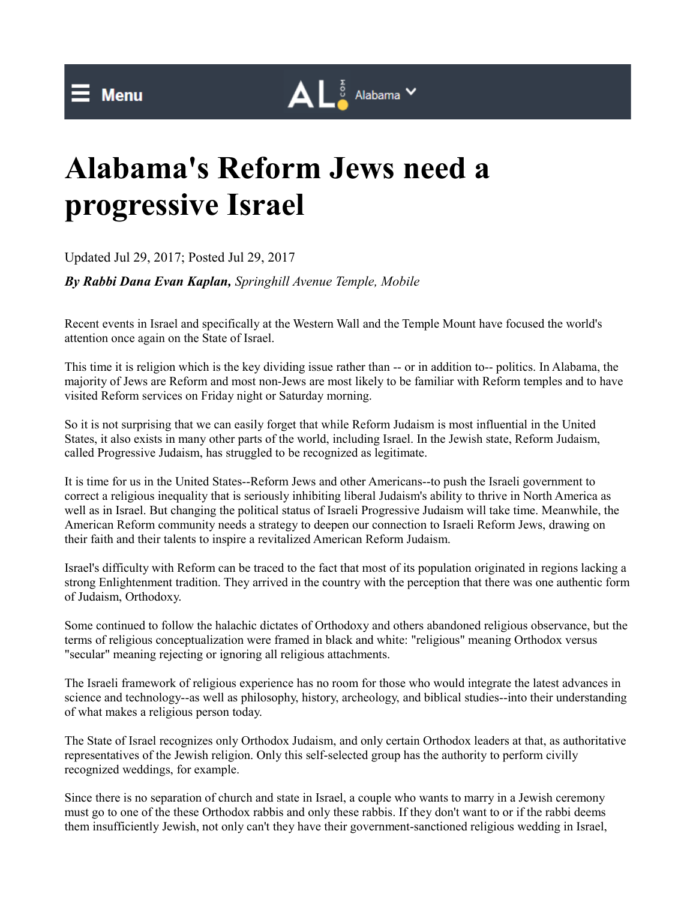## $\mathbf{A} \mathbf{L}^{\frac{5}{9}}$  Alabama  $\mathbf{v}$

## **Alabama's Reform Jews need a progressive Israel**

Updated Jul 29, 2017; Posted Jul 29, 2017

*By Rabbi Dana Evan Kaplan, Springhill Avenue Temple, Mobile*

Recent events in Israel and specifically at the Western Wall and the Temple Mount have focused the world's attention once again on the State of Israel.

This time it is religion which is the key dividing issue rather than -- or in addition to-- politics. In Alabama, the majority of Jews are Reform and most non-Jews are most likely to be familiar with Reform temples and to have visited Reform services on Friday night or Saturday morning.

So it is not surprising that we can easily forget that while Reform Judaism is most influential in the United States, it also exists in many other parts of the world, including Israel. In the Jewish state, Reform Judaism, called Progressive Judaism, has struggled to be recognized as legitimate.

It is time for us in the United States--Reform Jews and other Americans--to push the Israeli government to correct a religious inequality that is seriously inhibiting liberal Judaism's ability to thrive in North America as well as in Israel. But changing the political status of Israeli Progressive Judaism will take time. Meanwhile, the American Reform community needs a strategy to deepen our connection to Israeli Reform Jews, drawing on their faith and their talents to inspire a revitalized American Reform Judaism.

Israel's difficulty with Reform can be traced to the fact that most of its population originated in regions lacking a strong Enlightenment tradition. They arrived in the country with the perception that there was one authentic form of Judaism, Orthodoxy.

Some continued to follow the halachic dictates of Orthodoxy and others abandoned religious observance, but the terms of religious conceptualization were framed in black and white: "religious" meaning Orthodox versus "secular" meaning rejecting or ignoring all religious attachments.

The Israeli framework of religious experience has no room for those who would integrate the latest advances in science and technology--as well as philosophy, history, archeology, and biblical studies--into their understanding of what makes a religious person today.

The State of Israel recognizes only Orthodox Judaism, and only certain Orthodox leaders at that, as authoritative representatives of the Jewish religion. Only this self-selected group has the authority to perform civilly recognized weddings, for example.

Since there is no separation of church and state in Israel, a couple who wants to marry in a Jewish ceremony must go to one of the these Orthodox rabbis and only these rabbis. If they don't want to or if the rabbi deems them insufficiently Jewish, not only can't they have their government-sanctioned religious wedding in Israel,